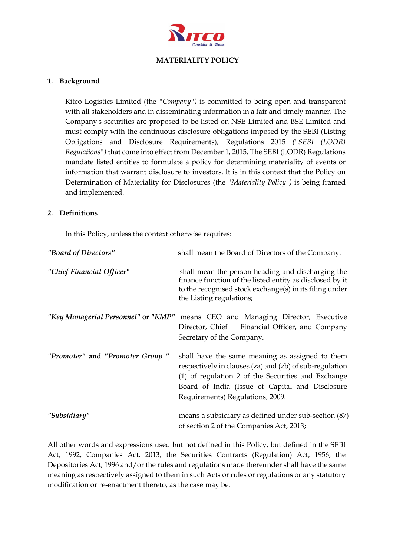

#### **MATERIALITY POLICY**

#### **1. Background**

Ritco Logistics Limited (the *"Company")* is committed to being open and transparent with all stakeholders and in disseminating information in a fair and timely manner. The Company's securities are proposed to be listed on NSE Limited and BSE Limited and must comply with the continuous disclosure obligations imposed by the SEBI (Listing Obligations and Disclosure Requirements), Regulations 2015 *("SEBI (LODR) Regulations")* that come into effect from December 1, 2015. The SEBI (LODR) Regulations mandate listed entities to formulate a policy for determining materiality of events or information that warrant disclosure to investors. It is in this context that the Policy on Determination of Materiality for Disclosures (the *"Materiality Policy")* is being framed and implemented.

## **2. Definitions**

In this Policy, unless the context otherwise requires:

| "Board of Directors"                | shall mean the Board of Directors of the Company.                                                                                                                                                                                                       |
|-------------------------------------|---------------------------------------------------------------------------------------------------------------------------------------------------------------------------------------------------------------------------------------------------------|
| "Chief Financial Officer"           | shall mean the person heading and discharging the<br>finance function of the listed entity as disclosed by it<br>to the recognised stock exchange(s) in its filing under<br>the Listing regulations;                                                    |
| "Key Managerial Personnel" or "KMP" | means CEO and Managing Director, Executive<br>Director, Chief Financial Officer, and Company<br>Secretary of the Company.                                                                                                                               |
| "Promoter" and "Promoter Group"     | shall have the same meaning as assigned to them<br>respectively in clauses (za) and (zb) of sub-regulation<br>(1) of regulation 2 of the Securities and Exchange<br>Board of India (Issue of Capital and Disclosure<br>Requirements) Regulations, 2009. |
| "Subsidiary"                        | means a subsidiary as defined under sub-section (87)<br>of section 2 of the Companies Act, 2013;                                                                                                                                                        |

All other words and expressions used but not defined in this Policy, but defined in the SEBI Act, 1992, Companies Act, 2013, the Securities Contracts (Regulation) Act, 1956, the Depositories Act, 1996 and/or the rules and regulations made thereunder shall have the same meaning as respectively assigned to them in such Acts or rules or regulations or any statutory modification or re-enactment thereto, as the case may be.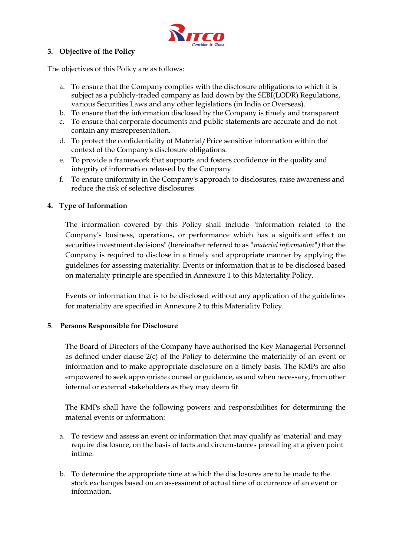

## **3. Objective of the Policy**

The objectives of this Policy are as follows:

- a. To ensure that the Company complies with the disclosure obligations to which it is subject as a publicly-traded company as laid down by the SEBI(LODR) Regulations, various Securities Laws and any other legislations (in India or Overseas).
- b. To ensure that the information disclosed by the Company is timely and transparent.
- c. To ensure that corporate documents and public statements are accurate and do not contain any misrepresentation.
- d. To protect the confidentiality of Material/Price sensitive information within the' context of the Company's disclosure obligations.
- e. To provide a framework that supports and fosters confidence in the quality and integrity of information released by the Company.
- f. To ensure uniformity in the Company's approach to disclosures, raise awareness and reduce the risk of selective disclosures.

#### **4. Type of Information**

The information covered by this Policy shall include "information related to the Company's business, operations, or performance which has a significant effect on securities investment decisions" (hereinafter referred to as *"material information")* that the Company is required to disclose in a timely and appropriate manner by applying the guidelines for assessing materiality. Events or information that is to be disclosed based on materiality principle are specified in Annexure 1 to this Materiality Policy.

Events or information that is to be disclosed without any application of the guidelines for materiality are specified in Annexure 2 to this Materiality Policy.

#### **5**. **Persons Responsible for Disclosure**

The Board of Directors of the Company have authorised the Key Managerial Personnel as defined under clause 2(c) of the Policy to determine the materiality of an event or information and to make appropriate disclosure on a timely basis. The KMPs are also empowered to seek appropriate counsel or guidance, as and when necessary, from other internal or external stakeholders as they may deem fit.

The KMPs shall have the following powers and responsibilities for determining the material events or information:

- a. To review and assess an event or information that may qualify as 'material' and may require disclosure, on the basis of facts and circumstances prevailing at a given point intime.
- b. To determine the appropriate time at which the disclosures are to be made to the stock exchanges based on an assessment of actual time of occurrence of an event or information.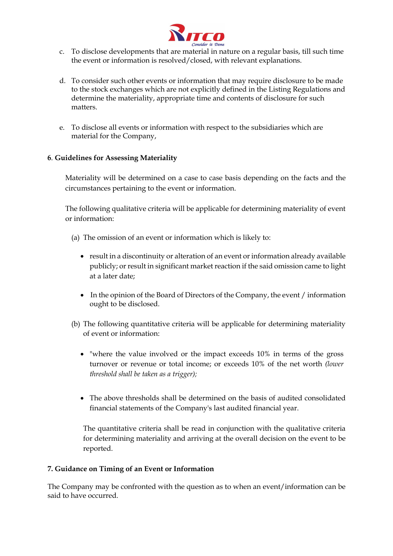

- c. To disclose developments that are material in nature on a regular basis, till such time the event or information is resolved/closed, with relevant explanations.
- d. To consider such other events or information that may require disclosure to be made to the stock exchanges which are not explicitly defined in the Listing Regulations and determine the materiality, appropriate time and contents of disclosure for such matters.
- e. To disclose all events or information with respect to the subsidiaries which are material for the Company,

## **6**. **Guidelines for Assessing Materiality**

Materiality will be determined on a case to case basis depending on the facts and the circumstances pertaining to the event or information.

The following qualitative criteria will be applicable for determining materiality of event or information:

- (a) The omission of an event or information which is likely to:
	- result in a discontinuity or alteration of an event or information already available publicly; or result in significant market reaction if the said omission came to light at a later date;
	- In the opinion of the Board of Directors of the Company, the event / information ought to be disclosed.
- (b) The following quantitative criteria will be applicable for determining materiality of event or information:
	- "where the value involved or the impact exceeds 10% in terms of the gross turnover or revenue or total income; or exceeds 10% of the net worth *(lower threshold shall be taken as a trigger);*
	- The above thresholds shall be determined on the basis of audited consolidated financial statements of the Company's last audited financial year.

The quantitative criteria shall be read in conjunction with the qualitative criteria for determining materiality and arriving at the overall decision on the event to be reported.

#### **7. Guidance on Timing of an Event or Information**

The Company may be confronted with the question as to when an event/information can be said to have occurred.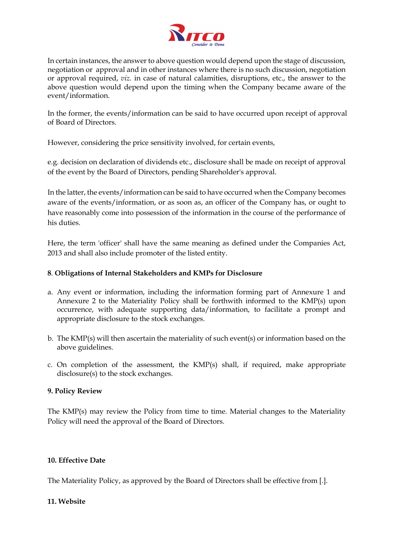

In certain instances, the answer to above question would depend upon the stage of discussion, negotiation or approval and in other instances where there is no such discussion, negotiation or approval required, *viz.* in case of natural calamities, disruptions, etc., the answer to the above question would depend upon the timing when the Company became aware of the event/information.

In the former, the events/information can be said to have occurred upon receipt of approval of Board of Directors.

However, considering the price sensitivity involved, for certain events,

e.g. decision on declaration of dividends etc., disclosure shall be made on receipt of approval of the event by the Board of Directors, pending Shareholder's approval.

In the latter, the events/information can be said to have occurred when the Company becomes aware of the events/information, or as soon as, an officer of the Company has, or ought to have reasonably come into possession of the information in the course of the performance of his duties.

Here, the term 'officer' shall have the same meaning as defined under the Companies Act, 2013 and shall also include promoter of the listed entity.

## **8**. **Obligations of Internal Stakeholders and KMPs for Disclosure**

- a. Any event or information, including the information forming part of Annexure 1 and Annexure 2 to the Materiality Policy shall be forthwith informed to the KMP(s) upon occurrence, with adequate supporting data/information, to facilitate a prompt and appropriate disclosure to the stock exchanges.
- b. The KMP(s) will then ascertain the materiality of such event(s) or information based on the above guidelines.
- c. On completion of the assessment, the KMP(s) shall, if required, make appropriate disclosure(s) to the stock exchanges.

#### **9. Policy Review**

The KMP(s) may review the Policy from time to time. Material changes to the Materiality Policy will need the approval of the Board of Directors.

#### **10. Effective Date**

The Materiality Policy, as approved by the Board of Directors shall be effective from [.].

#### **11. Website**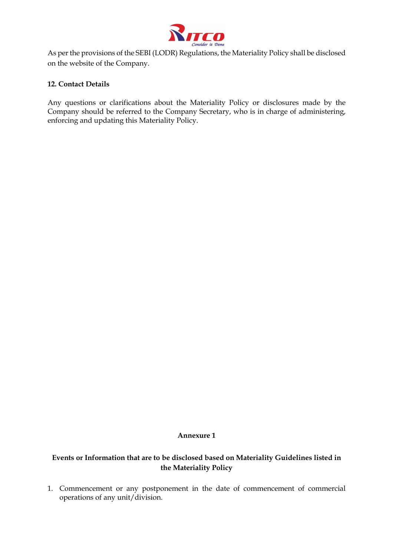

As per the provisions of the SEBI (LODR) Regulations, the Materiality Policy shall be disclosed on the website of the Company.

## **12. Contact Details**

Any questions or clarifications about the Materiality Policy or disclosures made by the Company should be referred to the Company Secretary, who is in charge of administering, enforcing and updating this Materiality Policy.

#### **Annexure 1**

## **Events or Information that are to be disclosed based on Materiality Guidelines listed in the Materiality Policy**

1. Commencement or any postponement in the date of commencement of commercial operations of any unit/division.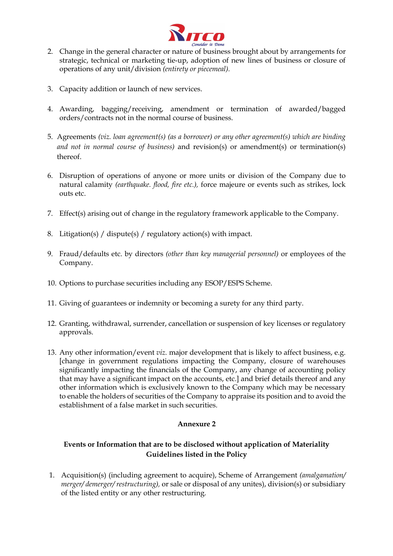

- 2. Change in the general character or nature of business brought about by arrangements for strategic, technical or marketing tie-up, adoption of new lines of business or closure of operations of any unit/division *(entirety or piecemeal).*
- 3. Capacity addition or launch of new services.
- 4. Awarding, bagging/receiving, amendment or termination of awarded/bagged orders/contracts not in the normal course of business.
- 5. Agreements *(viz. loan agreement(s) (as a borrower) or any other agreement(s) which are binding and not in normal course of business)* and revision(s) or amendment(s) or termination(s) thereof.
- 6. Disruption of operations of anyone or more units or division of the Company due to natural calamity *(earthquake. flood, fire etc.),* force majeure or events such as strikes, lock outs etc.
- 7. Effect(s) arising out of change in the regulatory framework applicable to the Company.
- 8. Litigation(s) / dispute(s) / regulatory action(s) with impact.
- 9. Fraud/defaults etc. by directors *(other than key managerial personnel)* or employees of the Company.
- 10. Options to purchase securities including any ESOP/ESPS Scheme.
- 11. Giving of guarantees or indemnity or becoming a surety for any third party.
- 12. Granting, withdrawal, surrender, cancellation or suspension of key licenses or regulatory approvals.
- 13. Any other information/event *viz.* major development that is likely to affect business, e.g. [change in government regulations impacting the Company, closure of warehouses significantly impacting the financials of the Company, any change of accounting policy that may have a significant impact on the accounts, etc.] and brief details thereof and any other information which is exclusively known to the Company which may be necessary to enable the holders of securities of the Company to appraise its position and to avoid the establishment of a false market in such securities.

## **Annexure 2**

# **Events or Information that are to be disclosed without application of Materiality Guidelines listed in the Policy**

1. Acquisition(s) (including agreement to acquire), Scheme of Arrangement *(amalgamation/ merger/ demerger/ restructuring),* or sale or disposal of any unites), division(s) or subsidiary of the listed entity or any other restructuring.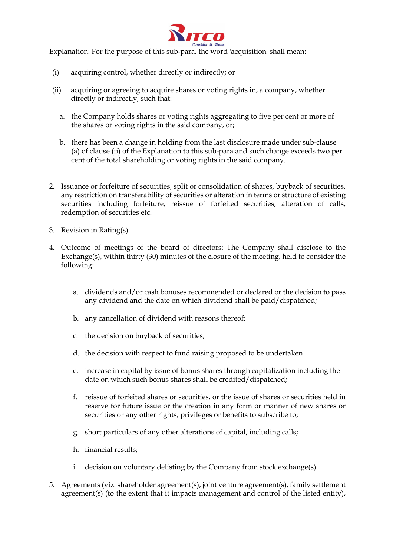

Explanation: For the purpose of this sub-para, the word 'acquisition' shall mean:

- (i) acquiring control, whether directly or indirectly; or
- (ii) acquiring or agreeing to acquire shares or voting rights in, a company, whether directly or indirectly, such that:
	- a. the Company holds shares or voting rights aggregating to five per cent or more of the shares or voting rights in the said company, or;
	- b. there has been a change in holding from the last disclosure made under sub-clause (a) of clause (ii) of the Explanation to this sub-para and such change exceeds two per cent of the total shareholding or voting rights in the said company.
- 2. Issuance or forfeiture of securities, split or consolidation of shares, buyback of securities, any restriction on transferability of securities or alteration in terms or structure of existing securities including forfeiture, reissue of forfeited securities, alteration of calls, redemption of securities etc.
- 3. Revision in Rating(s).
- 4. Outcome of meetings of the board of directors: The Company shall disclose to the Exchange(s), within thirty (30) minutes of the closure of the meeting, held to consider the following:
	- a. dividends and/or cash bonuses recommended or declared or the decision to pass any dividend and the date on which dividend shall be paid/dispatched;
	- b. any cancellation of dividend with reasons thereof;
	- c. the decision on buyback of securities;
	- d. the decision with respect to fund raising proposed to be undertaken
	- e. increase in capital by issue of bonus shares through capitalization including the date on which such bonus shares shall be credited/dispatched;
	- f. reissue of forfeited shares or securities, or the issue of shares or securities held in reserve for future issue or the creation in any form or manner of new shares or securities or any other rights, privileges or benefits to subscribe to;
	- g. short particulars of any other alterations of capital, including calls;
	- h. financial results;
	- i. decision on voluntary delisting by the Company from stock exchange(s).
- 5. Agreements (viz. shareholder agreement(s), joint venture agreement(s), family settlement agreement(s) (to the extent that it impacts management and control of the listed entity),